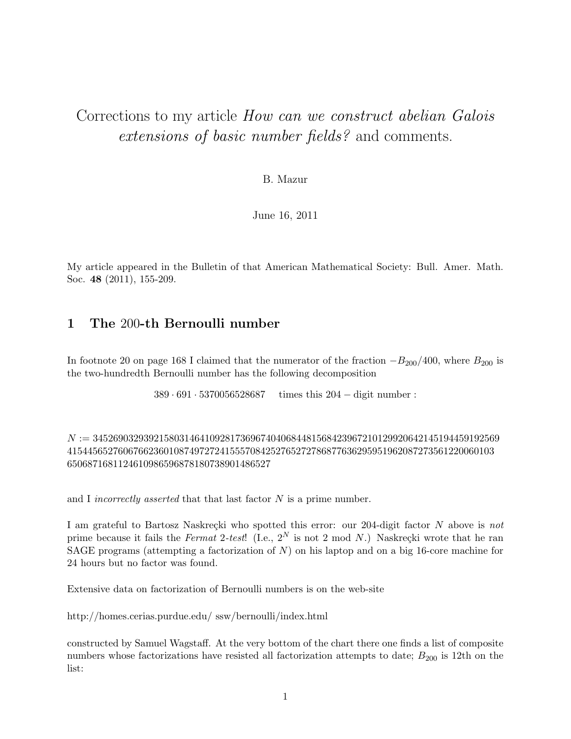# Corrections to my article How can we construct abelian Galois extensions of basic number fields? and comments.

#### B. Mazur

June 16, 2011

My article appeared in the Bulletin of that American Mathematical Society: Bull. Amer. Math. Soc. 48 (2011), 155-209.

### 1 The 200-th Bernoulli number

In footnote 20 on page 168 I claimed that the numerator of the fraction  $-B_{200}/400$ , where  $B_{200}$  is the two-hundredth Bernoulli number has the following decomposition

389 · 691 · 5370056528687 times this 204 − digit number :

N := 34526903293921580314641092817369674040684481568423967210129920642145194459192569 415445652760676623601087497272415557084252765272786877636295951962087273561220060103 6506871681124610986596878180738901486527

and I *incorrectly asserted* that that last factor  $N$  is a prime number.

I am grateful to Bartosz Naskrecki who spotted this error: our 204-digit factor  $N$  above is not prime because it fails the Fermat 2-test! (I.e.,  $2^N$  is not 2 mod N.) Naskreçki wrote that he ran SAGE programs (attempting a factorization of  $N$ ) on his laptop and on a big 16-core machine for 24 hours but no factor was found.

Extensive data on factorization of Bernoulli numbers is on the web-site

http://homes.cerias.purdue.edu/ ssw/bernoulli/index.html

constructed by Samuel Wagstaff. At the very bottom of the chart there one finds a list of composite numbers whose factorizations have resisted all factorization attempts to date;  $B_{200}$  is 12th on the list: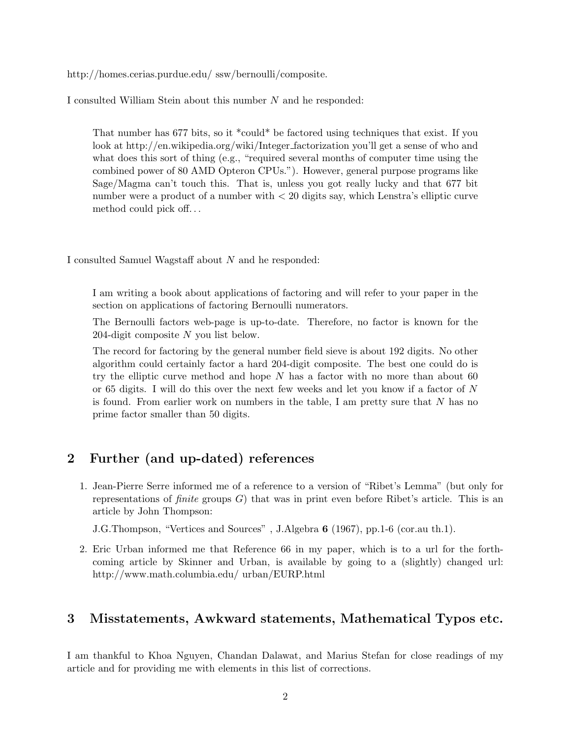http://homes.cerias.purdue.edu/ ssw/bernoulli/composite.

I consulted William Stein about this number N and he responded:

That number has 677 bits, so it \*could\* be factored using techniques that exist. If you look at http://en.wikipedia.org/wiki/Integer factorization you'll get a sense of who and what does this sort of thing (e.g., "required several months of computer time using the combined power of 80 AMD Opteron CPUs."). However, general purpose programs like Sage/Magma can't touch this. That is, unless you got really lucky and that 677 bit number were a product of a number with < 20 digits say, which Lenstra's elliptic curve method could pick off. . .

I consulted Samuel Wagstaff about N and he responded:

I am writing a book about applications of factoring and will refer to your paper in the section on applications of factoring Bernoulli numerators.

The Bernoulli factors web-page is up-to-date. Therefore, no factor is known for the 204-digit composite N you list below.

The record for factoring by the general number field sieve is about 192 digits. No other algorithm could certainly factor a hard 204-digit composite. The best one could do is try the elliptic curve method and hope  $N$  has a factor with no more than about 60 or 65 digits. I will do this over the next few weeks and let you know if a factor of  $N$ is found. From earlier work on numbers in the table, I am pretty sure that N has no prime factor smaller than 50 digits.

## 2 Further (and up-dated) references

1. Jean-Pierre Serre informed me of a reference to a version of "Ribet's Lemma" (but only for representations of *finite* groups  $G$ ) that was in print even before Ribet's article. This is an article by John Thompson:

J.G.Thompson, "Vertices and Sources" , J.Algebra 6 (1967), pp.1-6 (cor.au th.1).

2. Eric Urban informed me that Reference 66 in my paper, which is to a url for the forthcoming article by Skinner and Urban, is available by going to a (slightly) changed url: http://www.math.columbia.edu/ urban/EURP.html

### 3 Misstatements, Awkward statements, Mathematical Typos etc.

I am thankful to Khoa Nguyen, Chandan Dalawat, and Marius Stefan for close readings of my article and for providing me with elements in this list of corrections.